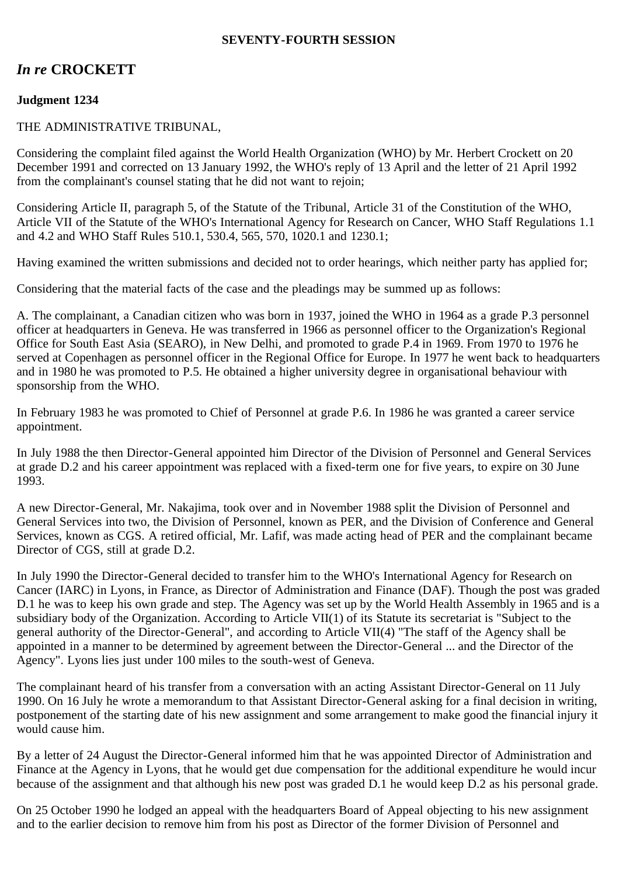## **SEVENTY-FOURTH SESSION**

# *In re* **CROCKETT**

# **Judgment 1234**

## THE ADMINISTRATIVE TRIBUNAL,

Considering the complaint filed against the World Health Organization (WHO) by Mr. Herbert Crockett on 20 December 1991 and corrected on 13 January 1992, the WHO's reply of 13 April and the letter of 21 April 1992 from the complainant's counsel stating that he did not want to rejoin;

Considering Article II, paragraph 5, of the Statute of the Tribunal, Article 31 of the Constitution of the WHO, Article VII of the Statute of the WHO's International Agency for Research on Cancer, WHO Staff Regulations 1.1 and 4.2 and WHO Staff Rules 510.1, 530.4, 565, 570, 1020.1 and 1230.1;

Having examined the written submissions and decided not to order hearings, which neither party has applied for;

Considering that the material facts of the case and the pleadings may be summed up as follows:

A. The complainant, a Canadian citizen who was born in 1937, joined the WHO in 1964 as a grade P.3 personnel officer at headquarters in Geneva. He was transferred in 1966 as personnel officer to the Organization's Regional Office for South East Asia (SEARO), in New Delhi, and promoted to grade P.4 in 1969. From 1970 to 1976 he served at Copenhagen as personnel officer in the Regional Office for Europe. In 1977 he went back to headquarters and in 1980 he was promoted to P.5. He obtained a higher university degree in organisational behaviour with sponsorship from the WHO.

In February 1983 he was promoted to Chief of Personnel at grade P.6. In 1986 he was granted a career service appointment.

In July 1988 the then Director-General appointed him Director of the Division of Personnel and General Services at grade D.2 and his career appointment was replaced with a fixed-term one for five years, to expire on 30 June 1993.

A new Director-General, Mr. Nakajima, took over and in November 1988 split the Division of Personnel and General Services into two, the Division of Personnel, known as PER, and the Division of Conference and General Services, known as CGS. A retired official, Mr. Lafif, was made acting head of PER and the complainant became Director of CGS, still at grade D.2.

In July 1990 the Director-General decided to transfer him to the WHO's International Agency for Research on Cancer (IARC) in Lyons, in France, as Director of Administration and Finance (DAF). Though the post was graded D.1 he was to keep his own grade and step. The Agency was set up by the World Health Assembly in 1965 and is a subsidiary body of the Organization. According to Article VII(1) of its Statute its secretariat is "Subject to the general authority of the Director-General", and according to Article VII(4) "The staff of the Agency shall be appointed in a manner to be determined by agreement between the Director-General ... and the Director of the Agency". Lyons lies just under 100 miles to the south-west of Geneva.

The complainant heard of his transfer from a conversation with an acting Assistant Director-General on 11 July 1990. On 16 July he wrote a memorandum to that Assistant Director-General asking for a final decision in writing, postponement of the starting date of his new assignment and some arrangement to make good the financial injury it would cause him.

By a letter of 24 August the Director-General informed him that he was appointed Director of Administration and Finance at the Agency in Lyons, that he would get due compensation for the additional expenditure he would incur because of the assignment and that although his new post was graded D.1 he would keep D.2 as his personal grade.

On 25 October 1990 he lodged an appeal with the headquarters Board of Appeal objecting to his new assignment and to the earlier decision to remove him from his post as Director of the former Division of Personnel and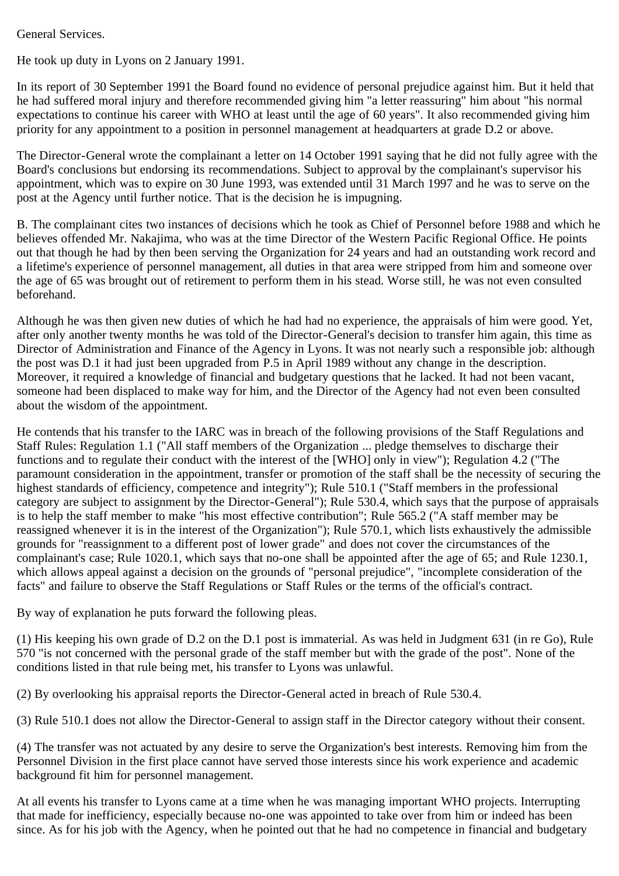General Services.

He took up duty in Lyons on 2 January 1991.

In its report of 30 September 1991 the Board found no evidence of personal prejudice against him. But it held that he had suffered moral injury and therefore recommended giving him "a letter reassuring" him about "his normal expectations to continue his career with WHO at least until the age of 60 years". It also recommended giving him priority for any appointment to a position in personnel management at headquarters at grade D.2 or above.

The Director-General wrote the complainant a letter on 14 October 1991 saying that he did not fully agree with the Board's conclusions but endorsing its recommendations. Subject to approval by the complainant's supervisor his appointment, which was to expire on 30 June 1993, was extended until 31 March 1997 and he was to serve on the post at the Agency until further notice. That is the decision he is impugning.

B. The complainant cites two instances of decisions which he took as Chief of Personnel before 1988 and which he believes offended Mr. Nakajima, who was at the time Director of the Western Pacific Regional Office. He points out that though he had by then been serving the Organization for 24 years and had an outstanding work record and a lifetime's experience of personnel management, all duties in that area were stripped from him and someone over the age of 65 was brought out of retirement to perform them in his stead. Worse still, he was not even consulted beforehand.

Although he was then given new duties of which he had had no experience, the appraisals of him were good. Yet, after only another twenty months he was told of the Director-General's decision to transfer him again, this time as Director of Administration and Finance of the Agency in Lyons. It was not nearly such a responsible job: although the post was D.1 it had just been upgraded from P.5 in April 1989 without any change in the description. Moreover, it required a knowledge of financial and budgetary questions that he lacked. It had not been vacant, someone had been displaced to make way for him, and the Director of the Agency had not even been consulted about the wisdom of the appointment.

He contends that his transfer to the IARC was in breach of the following provisions of the Staff Regulations and Staff Rules: Regulation 1.1 ("All staff members of the Organization ... pledge themselves to discharge their functions and to regulate their conduct with the interest of the [WHO] only in view"); Regulation 4.2 ("The paramount consideration in the appointment, transfer or promotion of the staff shall be the necessity of securing the highest standards of efficiency, competence and integrity"); Rule 510.1 ("Staff members in the professional category are subject to assignment by the Director-General"); Rule 530.4, which says that the purpose of appraisals is to help the staff member to make "his most effective contribution"; Rule 565.2 ("A staff member may be reassigned whenever it is in the interest of the Organization"); Rule 570.1, which lists exhaustively the admissible grounds for "reassignment to a different post of lower grade" and does not cover the circumstances of the complainant's case; Rule 1020.1, which says that no-one shall be appointed after the age of 65; and Rule 1230.1, which allows appeal against a decision on the grounds of "personal prejudice", "incomplete consideration of the facts" and failure to observe the Staff Regulations or Staff Rules or the terms of the official's contract.

By way of explanation he puts forward the following pleas.

(1) His keeping his own grade of D.2 on the D.1 post is immaterial. As was held in Judgment 631 (in re Go), Rule 570 "is not concerned with the personal grade of the staff member but with the grade of the post". None of the conditions listed in that rule being met, his transfer to Lyons was unlawful.

(2) By overlooking his appraisal reports the Director-General acted in breach of Rule 530.4.

(3) Rule 510.1 does not allow the Director-General to assign staff in the Director category without their consent.

(4) The transfer was not actuated by any desire to serve the Organization's best interests. Removing him from the Personnel Division in the first place cannot have served those interests since his work experience and academic background fit him for personnel management.

At all events his transfer to Lyons came at a time when he was managing important WHO projects. Interrupting that made for inefficiency, especially because no-one was appointed to take over from him or indeed has been since. As for his job with the Agency, when he pointed out that he had no competence in financial and budgetary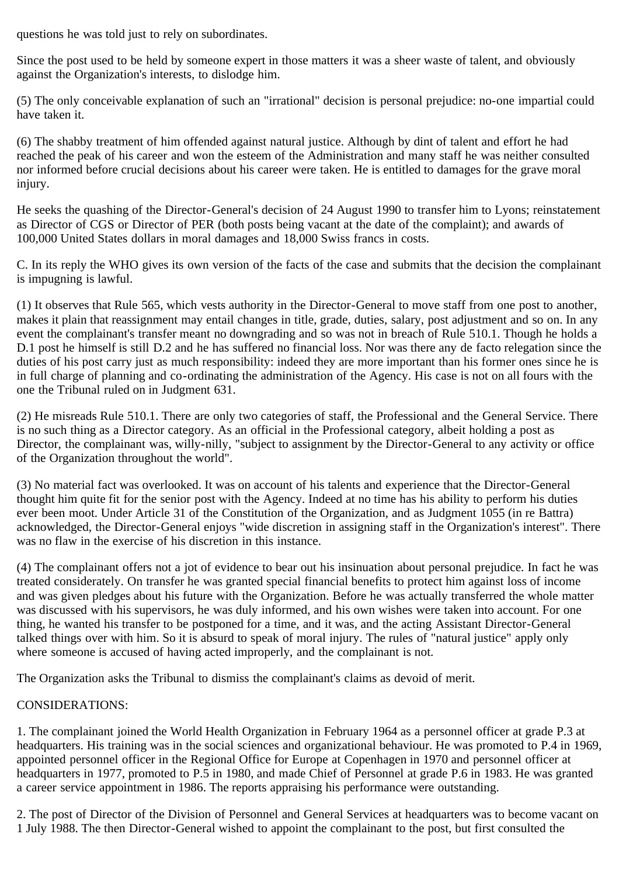questions he was told just to rely on subordinates.

Since the post used to be held by someone expert in those matters it was a sheer waste of talent, and obviously against the Organization's interests, to dislodge him.

(5) The only conceivable explanation of such an "irrational" decision is personal prejudice: no-one impartial could have taken it.

(6) The shabby treatment of him offended against natural justice. Although by dint of talent and effort he had reached the peak of his career and won the esteem of the Administration and many staff he was neither consulted nor informed before crucial decisions about his career were taken. He is entitled to damages for the grave moral injury.

He seeks the quashing of the Director-General's decision of 24 August 1990 to transfer him to Lyons; reinstatement as Director of CGS or Director of PER (both posts being vacant at the date of the complaint); and awards of 100,000 United States dollars in moral damages and 18,000 Swiss francs in costs.

C. In its reply the WHO gives its own version of the facts of the case and submits that the decision the complainant is impugning is lawful.

(1) It observes that Rule 565, which vests authority in the Director-General to move staff from one post to another, makes it plain that reassignment may entail changes in title, grade, duties, salary, post adjustment and so on. In any event the complainant's transfer meant no downgrading and so was not in breach of Rule 510.1. Though he holds a D.1 post he himself is still D.2 and he has suffered no financial loss. Nor was there any de facto relegation since the duties of his post carry just as much responsibility: indeed they are more important than his former ones since he is in full charge of planning and co-ordinating the administration of the Agency. His case is not on all fours with the one the Tribunal ruled on in Judgment 631.

(2) He misreads Rule 510.1. There are only two categories of staff, the Professional and the General Service. There is no such thing as a Director category. As an official in the Professional category, albeit holding a post as Director, the complainant was, willy-nilly, "subject to assignment by the Director-General to any activity or office of the Organization throughout the world".

(3) No material fact was overlooked. It was on account of his talents and experience that the Director-General thought him quite fit for the senior post with the Agency. Indeed at no time has his ability to perform his duties ever been moot. Under Article 31 of the Constitution of the Organization, and as Judgment 1055 (in re Battra) acknowledged, the Director-General enjoys "wide discretion in assigning staff in the Organization's interest". There was no flaw in the exercise of his discretion in this instance.

(4) The complainant offers not a jot of evidence to bear out his insinuation about personal prejudice. In fact he was treated considerately. On transfer he was granted special financial benefits to protect him against loss of income and was given pledges about his future with the Organization. Before he was actually transferred the whole matter was discussed with his supervisors, he was duly informed, and his own wishes were taken into account. For one thing, he wanted his transfer to be postponed for a time, and it was, and the acting Assistant Director-General talked things over with him. So it is absurd to speak of moral injury. The rules of "natural justice" apply only where someone is accused of having acted improperly, and the complainant is not.

The Organization asks the Tribunal to dismiss the complainant's claims as devoid of merit.

# CONSIDERATIONS:

1. The complainant joined the World Health Organization in February 1964 as a personnel officer at grade P.3 at headquarters. His training was in the social sciences and organizational behaviour. He was promoted to P.4 in 1969, appointed personnel officer in the Regional Office for Europe at Copenhagen in 1970 and personnel officer at headquarters in 1977, promoted to P.5 in 1980, and made Chief of Personnel at grade P.6 in 1983. He was granted a career service appointment in 1986. The reports appraising his performance were outstanding.

2. The post of Director of the Division of Personnel and General Services at headquarters was to become vacant on 1 July 1988. The then Director-General wished to appoint the complainant to the post, but first consulted the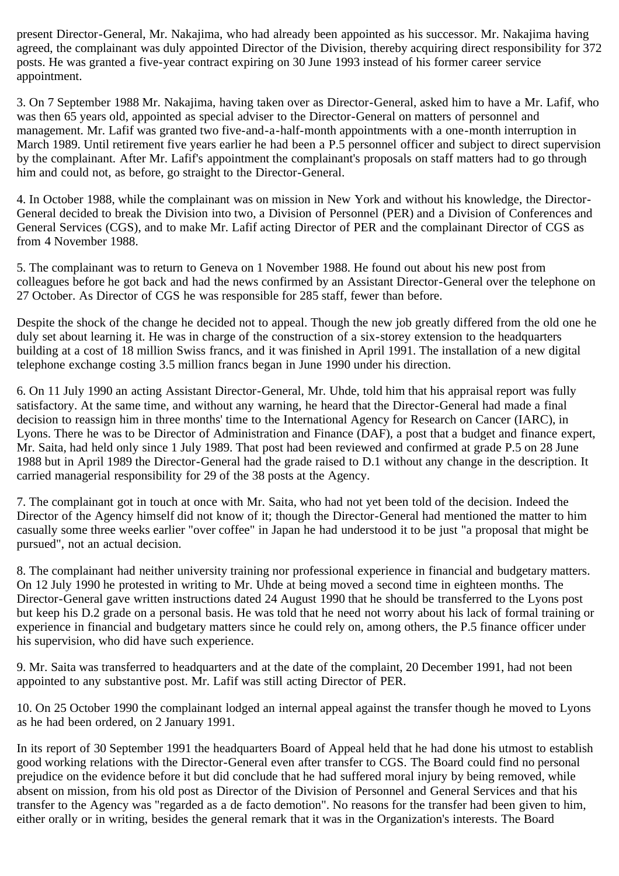present Director-General, Mr. Nakajima, who had already been appointed as his successor. Mr. Nakajima having agreed, the complainant was duly appointed Director of the Division, thereby acquiring direct responsibility for 372 posts. He was granted a five-year contract expiring on 30 June 1993 instead of his former career service appointment.

3. On 7 September 1988 Mr. Nakajima, having taken over as Director-General, asked him to have a Mr. Lafif, who was then 65 years old, appointed as special adviser to the Director-General on matters of personnel and management. Mr. Lafif was granted two five-and-a-half-month appointments with a one-month interruption in March 1989. Until retirement five years earlier he had been a P.5 personnel officer and subject to direct supervision by the complainant. After Mr. Lafif's appointment the complainant's proposals on staff matters had to go through him and could not, as before, go straight to the Director-General.

4. In October 1988, while the complainant was on mission in New York and without his knowledge, the Director-General decided to break the Division into two, a Division of Personnel (PER) and a Division of Conferences and General Services (CGS), and to make Mr. Lafif acting Director of PER and the complainant Director of CGS as from 4 November 1988.

5. The complainant was to return to Geneva on 1 November 1988. He found out about his new post from colleagues before he got back and had the news confirmed by an Assistant Director-General over the telephone on 27 October. As Director of CGS he was responsible for 285 staff, fewer than before.

Despite the shock of the change he decided not to appeal. Though the new job greatly differed from the old one he duly set about learning it. He was in charge of the construction of a six-storey extension to the headquarters building at a cost of 18 million Swiss francs, and it was finished in April 1991. The installation of a new digital telephone exchange costing 3.5 million francs began in June 1990 under his direction.

6. On 11 July 1990 an acting Assistant Director-General, Mr. Uhde, told him that his appraisal report was fully satisfactory. At the same time, and without any warning, he heard that the Director-General had made a final decision to reassign him in three months' time to the International Agency for Research on Cancer (IARC), in Lyons. There he was to be Director of Administration and Finance (DAF), a post that a budget and finance expert, Mr. Saita, had held only since 1 July 1989. That post had been reviewed and confirmed at grade P.5 on 28 June 1988 but in April 1989 the Director-General had the grade raised to D.1 without any change in the description. It carried managerial responsibility for 29 of the 38 posts at the Agency.

7. The complainant got in touch at once with Mr. Saita, who had not yet been told of the decision. Indeed the Director of the Agency himself did not know of it; though the Director-General had mentioned the matter to him casually some three weeks earlier "over coffee" in Japan he had understood it to be just "a proposal that might be pursued", not an actual decision.

8. The complainant had neither university training nor professional experience in financial and budgetary matters. On 12 July 1990 he protested in writing to Mr. Uhde at being moved a second time in eighteen months. The Director-General gave written instructions dated 24 August 1990 that he should be transferred to the Lyons post but keep his D.2 grade on a personal basis. He was told that he need not worry about his lack of formal training or experience in financial and budgetary matters since he could rely on, among others, the P.5 finance officer under his supervision, who did have such experience.

9. Mr. Saita was transferred to headquarters and at the date of the complaint, 20 December 1991, had not been appointed to any substantive post. Mr. Lafif was still acting Director of PER.

10. On 25 October 1990 the complainant lodged an internal appeal against the transfer though he moved to Lyons as he had been ordered, on 2 January 1991.

In its report of 30 September 1991 the headquarters Board of Appeal held that he had done his utmost to establish good working relations with the Director-General even after transfer to CGS. The Board could find no personal prejudice on the evidence before it but did conclude that he had suffered moral injury by being removed, while absent on mission, from his old post as Director of the Division of Personnel and General Services and that his transfer to the Agency was "regarded as a de facto demotion". No reasons for the transfer had been given to him, either orally or in writing, besides the general remark that it was in the Organization's interests. The Board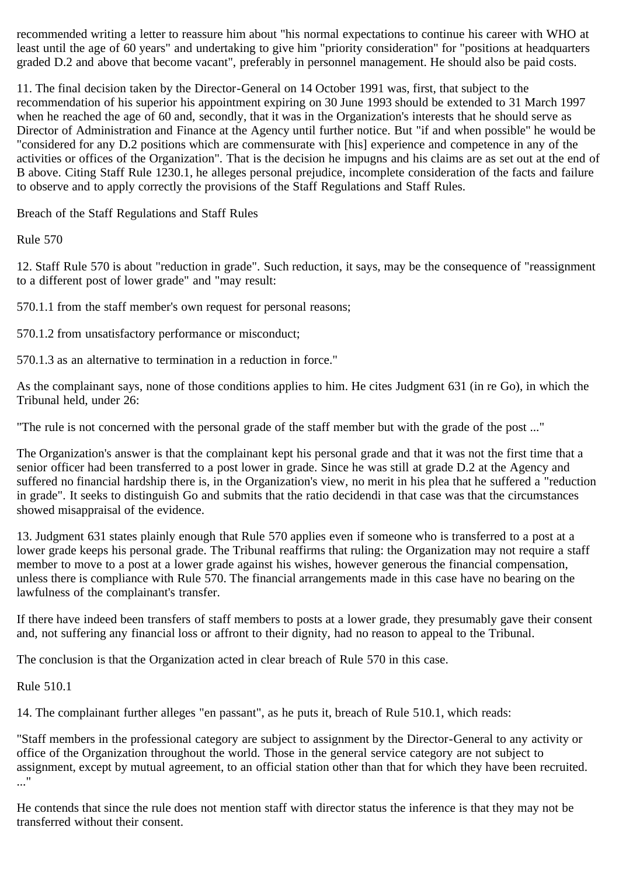recommended writing a letter to reassure him about "his normal expectations to continue his career with WHO at least until the age of 60 years" and undertaking to give him "priority consideration" for "positions at headquarters graded D.2 and above that become vacant", preferably in personnel management. He should also be paid costs.

11. The final decision taken by the Director-General on 14 October 1991 was, first, that subject to the recommendation of his superior his appointment expiring on 30 June 1993 should be extended to 31 March 1997 when he reached the age of 60 and, secondly, that it was in the Organization's interests that he should serve as Director of Administration and Finance at the Agency until further notice. But "if and when possible" he would be "considered for any D.2 positions which are commensurate with [his] experience and competence in any of the activities or offices of the Organization". That is the decision he impugns and his claims are as set out at the end of B above. Citing Staff Rule 1230.1, he alleges personal prejudice, incomplete consideration of the facts and failure to observe and to apply correctly the provisions of the Staff Regulations and Staff Rules.

Breach of the Staff Regulations and Staff Rules

Rule 570

12. Staff Rule 570 is about "reduction in grade". Such reduction, it says, may be the consequence of "reassignment to a different post of lower grade" and "may result:

570.1.1 from the staff member's own request for personal reasons;

570.1.2 from unsatisfactory performance or misconduct;

570.1.3 as an alternative to termination in a reduction in force."

As the complainant says, none of those conditions applies to him. He cites Judgment 631 (in re Go), in which the Tribunal held, under 26:

"The rule is not concerned with the personal grade of the staff member but with the grade of the post ..."

The Organization's answer is that the complainant kept his personal grade and that it was not the first time that a senior officer had been transferred to a post lower in grade. Since he was still at grade D.2 at the Agency and suffered no financial hardship there is, in the Organization's view, no merit in his plea that he suffered a "reduction in grade". It seeks to distinguish Go and submits that the ratio decidendi in that case was that the circumstances showed misappraisal of the evidence.

13. Judgment 631 states plainly enough that Rule 570 applies even if someone who is transferred to a post at a lower grade keeps his personal grade. The Tribunal reaffirms that ruling: the Organization may not require a staff member to move to a post at a lower grade against his wishes, however generous the financial compensation, unless there is compliance with Rule 570. The financial arrangements made in this case have no bearing on the lawfulness of the complainant's transfer.

If there have indeed been transfers of staff members to posts at a lower grade, they presumably gave their consent and, not suffering any financial loss or affront to their dignity, had no reason to appeal to the Tribunal.

The conclusion is that the Organization acted in clear breach of Rule 570 in this case.

Rule 510.1

14. The complainant further alleges "en passant", as he puts it, breach of Rule 510.1, which reads:

"Staff members in the professional category are subject to assignment by the Director-General to any activity or office of the Organization throughout the world. Those in the general service category are not subject to assignment, except by mutual agreement, to an official station other than that for which they have been recruited. ..."

He contends that since the rule does not mention staff with director status the inference is that they may not be transferred without their consent.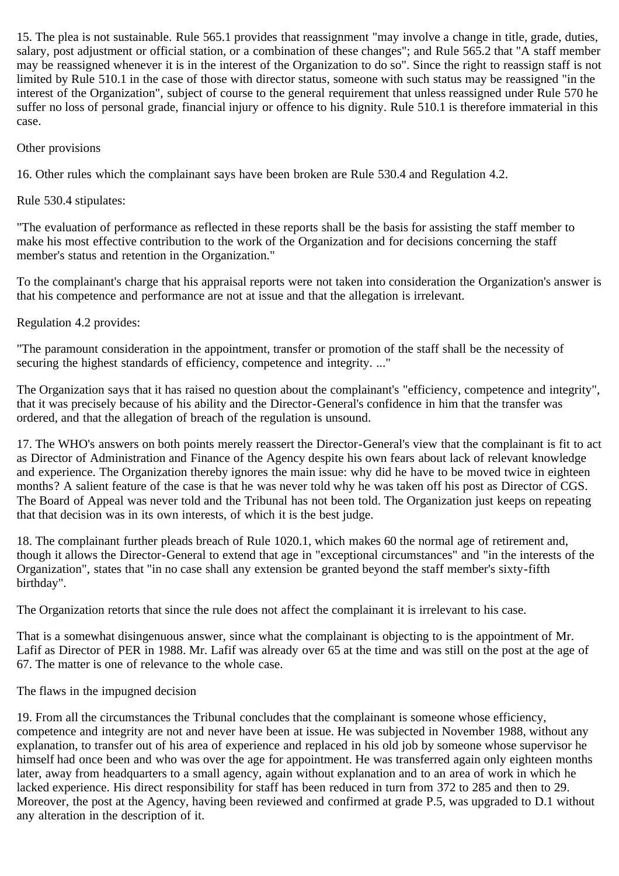15. The plea is not sustainable. Rule 565.1 provides that reassignment "may involve a change in title, grade, duties, salary, post adjustment or official station, or a combination of these changes"; and Rule 565.2 that "A staff member may be reassigned whenever it is in the interest of the Organization to do so". Since the right to reassign staff is not limited by Rule 510.1 in the case of those with director status, someone with such status may be reassigned "in the interest of the Organization", subject of course to the general requirement that unless reassigned under Rule 570 he suffer no loss of personal grade, financial injury or offence to his dignity. Rule 510.1 is therefore immaterial in this case.

## Other provisions

16. Other rules which the complainant says have been broken are Rule 530.4 and Regulation 4.2.

Rule 530.4 stipulates:

"The evaluation of performance as reflected in these reports shall be the basis for assisting the staff member to make his most effective contribution to the work of the Organization and for decisions concerning the staff member's status and retention in the Organization."

To the complainant's charge that his appraisal reports were not taken into consideration the Organization's answer is that his competence and performance are not at issue and that the allegation is irrelevant.

#### Regulation 4.2 provides:

"The paramount consideration in the appointment, transfer or promotion of the staff shall be the necessity of securing the highest standards of efficiency, competence and integrity. ..."

The Organization says that it has raised no question about the complainant's "efficiency, competence and integrity", that it was precisely because of his ability and the Director-General's confidence in him that the transfer was ordered, and that the allegation of breach of the regulation is unsound.

17. The WHO's answers on both points merely reassert the Director-General's view that the complainant is fit to act as Director of Administration and Finance of the Agency despite his own fears about lack of relevant knowledge and experience. The Organization thereby ignores the main issue: why did he have to be moved twice in eighteen months? A salient feature of the case is that he was never told why he was taken off his post as Director of CGS. The Board of Appeal was never told and the Tribunal has not been told. The Organization just keeps on repeating that that decision was in its own interests, of which it is the best judge.

18. The complainant further pleads breach of Rule 1020.1, which makes 60 the normal age of retirement and, though it allows the Director-General to extend that age in "exceptional circumstances" and "in the interests of the Organization", states that "in no case shall any extension be granted beyond the staff member's sixty-fifth birthday".

The Organization retorts that since the rule does not affect the complainant it is irrelevant to his case.

That is a somewhat disingenuous answer, since what the complainant is objecting to is the appointment of Mr. Lafif as Director of PER in 1988. Mr. Lafif was already over 65 at the time and was still on the post at the age of 67. The matter is one of relevance to the whole case.

The flaws in the impugned decision

19. From all the circumstances the Tribunal concludes that the complainant is someone whose efficiency, competence and integrity are not and never have been at issue. He was subjected in November 1988, without any explanation, to transfer out of his area of experience and replaced in his old job by someone whose supervisor he himself had once been and who was over the age for appointment. He was transferred again only eighteen months later, away from headquarters to a small agency, again without explanation and to an area of work in which he lacked experience. His direct responsibility for staff has been reduced in turn from 372 to 285 and then to 29. Moreover, the post at the Agency, having been reviewed and confirmed at grade P.5, was upgraded to D.1 without any alteration in the description of it.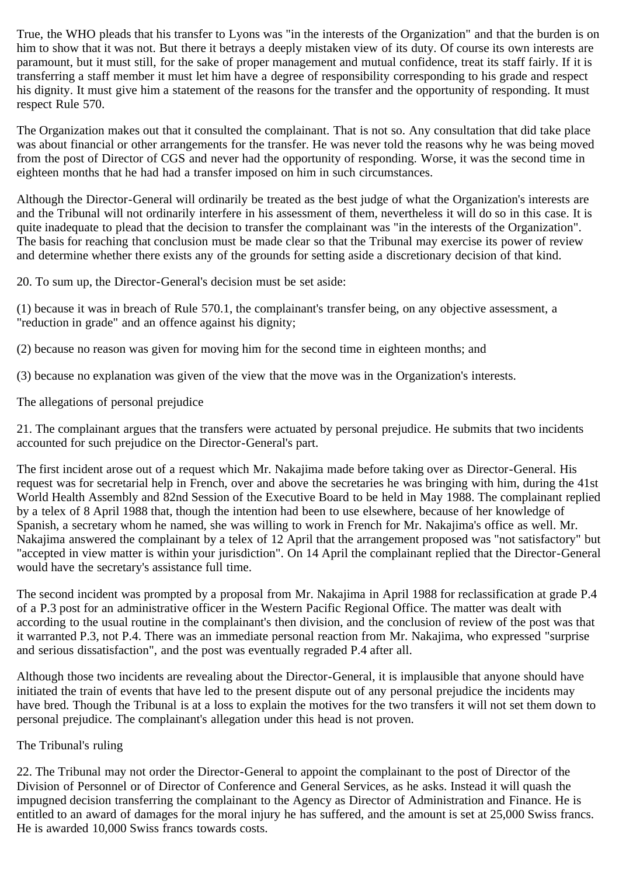True, the WHO pleads that his transfer to Lyons was "in the interests of the Organization" and that the burden is on him to show that it was not. But there it betrays a deeply mistaken view of its duty. Of course its own interests are paramount, but it must still, for the sake of proper management and mutual confidence, treat its staff fairly. If it is transferring a staff member it must let him have a degree of responsibility corresponding to his grade and respect his dignity. It must give him a statement of the reasons for the transfer and the opportunity of responding. It must respect Rule 570.

The Organization makes out that it consulted the complainant. That is not so. Any consultation that did take place was about financial or other arrangements for the transfer. He was never told the reasons why he was being moved from the post of Director of CGS and never had the opportunity of responding. Worse, it was the second time in eighteen months that he had had a transfer imposed on him in such circumstances.

Although the Director-General will ordinarily be treated as the best judge of what the Organization's interests are and the Tribunal will not ordinarily interfere in his assessment of them, nevertheless it will do so in this case. It is quite inadequate to plead that the decision to transfer the complainant was "in the interests of the Organization". The basis for reaching that conclusion must be made clear so that the Tribunal may exercise its power of review and determine whether there exists any of the grounds for setting aside a discretionary decision of that kind.

20. To sum up, the Director-General's decision must be set aside:

(1) because it was in breach of Rule 570.1, the complainant's transfer being, on any objective assessment, a "reduction in grade" and an offence against his dignity;

(2) because no reason was given for moving him for the second time in eighteen months; and

(3) because no explanation was given of the view that the move was in the Organization's interests.

The allegations of personal prejudice

21. The complainant argues that the transfers were actuated by personal prejudice. He submits that two incidents accounted for such prejudice on the Director-General's part.

The first incident arose out of a request which Mr. Nakajima made before taking over as Director-General. His request was for secretarial help in French, over and above the secretaries he was bringing with him, during the 41st World Health Assembly and 82nd Session of the Executive Board to be held in May 1988. The complainant replied by a telex of 8 April 1988 that, though the intention had been to use elsewhere, because of her knowledge of Spanish, a secretary whom he named, she was willing to work in French for Mr. Nakajima's office as well. Mr. Nakajima answered the complainant by a telex of 12 April that the arrangement proposed was "not satisfactory" but "accepted in view matter is within your jurisdiction". On 14 April the complainant replied that the Director-General would have the secretary's assistance full time.

The second incident was prompted by a proposal from Mr. Nakajima in April 1988 for reclassification at grade P.4 of a P.3 post for an administrative officer in the Western Pacific Regional Office. The matter was dealt with according to the usual routine in the complainant's then division, and the conclusion of review of the post was that it warranted P.3, not P.4. There was an immediate personal reaction from Mr. Nakajima, who expressed "surprise and serious dissatisfaction", and the post was eventually regraded P.4 after all.

Although those two incidents are revealing about the Director-General, it is implausible that anyone should have initiated the train of events that have led to the present dispute out of any personal prejudice the incidents may have bred. Though the Tribunal is at a loss to explain the motives for the two transfers it will not set them down to personal prejudice. The complainant's allegation under this head is not proven.

# The Tribunal's ruling

22. The Tribunal may not order the Director-General to appoint the complainant to the post of Director of the Division of Personnel or of Director of Conference and General Services, as he asks. Instead it will quash the impugned decision transferring the complainant to the Agency as Director of Administration and Finance. He is entitled to an award of damages for the moral injury he has suffered, and the amount is set at 25,000 Swiss francs. He is awarded 10,000 Swiss francs towards costs.